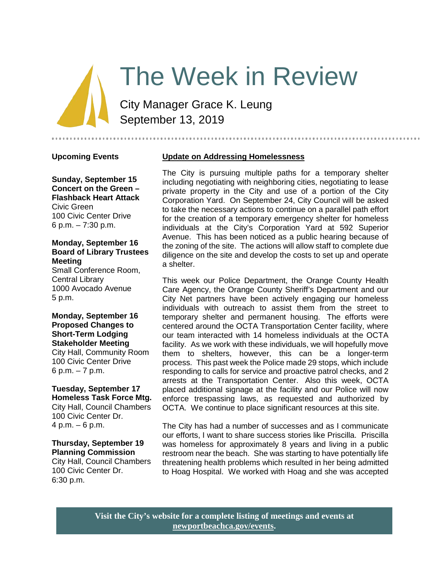# The Week in Review

City Manager Grace K. Leung September 13, 2019

## **Upcoming Events**

**Sunday, September 15 Concert on the Green – Flashback Heart Attack** Civic Green 100 Civic Center Drive 6 p.m. – 7:30 p.m.

#### **Monday, September 16 Board of Library Trustees Meeting**

Small Conference Room, Central Library 1000 Avocado Avenue 5 p.m.

**Monday, September 16 Proposed Changes to Short-Term Lodging Stakeholder Meeting** City Hall, Community Room 100 Civic Center Drive 6 p.m. – 7 p.m.

# **Tuesday, September 17 Homeless Task Force Mtg.**

City Hall, Council Chambers 100 Civic Center Dr. 4 p.m. – 6 p.m.

#### **Thursday, September 19 Planning Commission**

City Hall, Council Chambers 100 Civic Center Dr. 6:30 p.m.

## **Update on Addressing Homelessness**

The City is pursuing multiple paths for a temporary shelter including negotiating with neighboring cities, negotiating to lease private property in the City and use of a portion of the City Corporation Yard. On September 24, City Council will be asked to take the necessary actions to continue on a parallel path effort for the creation of a temporary emergency shelter for homeless individuals at the City's Corporation Yard at 592 Superior Avenue. This has been noticed as a public hearing because of the zoning of the site. The actions will allow staff to complete due diligence on the site and develop the costs to set up and operate a shelter.

This week our Police Department, the Orange County Health Care Agency, the Orange County Sheriff's Department and our City Net partners have been actively engaging our homeless individuals with outreach to assist them from the street to temporary shelter and permanent housing. The efforts were centered around the OCTA Transportation Center facility, where our team interacted with 14 homeless individuals at the OCTA facility. As we work with these individuals, we will hopefully move them to shelters, however, this can be a longer-term process. This past week the Police made 29 stops, which include responding to calls for service and proactive patrol checks, and 2 arrests at the Transportation Center. Also this week, OCTA placed additional signage at the facility and our Police will now enforce trespassing laws, as requested and authorized by OCTA. We continue to place significant resources at this site.

The City has had a number of successes and as I communicate our efforts, I want to share success stories like Priscilla. Priscilla was homeless for approximately 8 years and living in a public restroom near the beach. She was starting to have potentially life threatening health problems which resulted in her being admitted to Hoag Hospital. We worked with Hoag and she was accepted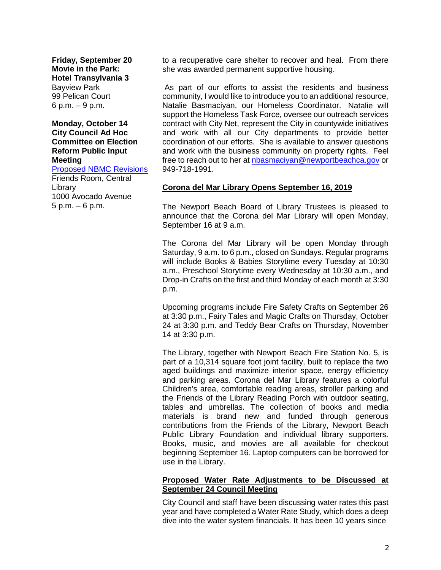**Friday, September 20 Movie in the Park: Hotel Transylvania 3** Bayview Park 99 Pelican Court 6 p.m. – 9 p.m.

#### **Monday, October 14 City Council Ad Hoc Committee on Election Reform Public Input Meeting**

[Proposed NBMC Revisions](https://www.newportbeachca.gov/Home/Components/Calendar/Event/58174/72?curm=10&cury=2019) Friends Room, Central **Library** 1000 Avocado Avenue 5 p.m. – 6 p.m.

to a recuperative care shelter to recover and heal. From there she was awarded permanent supportive housing.

As part of our efforts to assist the residents and business community, I would like to introduce you to an additional resource, Natalie Basmaciyan, our Homeless Coordinator. Natalie will support the Homeless Task Force, oversee our outreach services contract with City Net, represent the City in countywide initiatives and work with all our City departments to provide better coordination of our efforts. She is available to answer questions and work with the business community on property rights. Feel free to reach out to her at [nbasmaciyan@newportbeachca.gov](mailto:nbasmaciyan@newportbeachca.gov) or 949-718-1991.

## **Corona del Mar Library Opens September 16, 2019**

The Newport Beach Board of Library Trustees is pleased to announce that the Corona del Mar Library will open Monday, September 16 at 9 a.m.

The Corona del Mar Library will be open Monday through Saturday, 9 a.m. to 6 p.m., closed on Sundays. Regular programs will include Books & Babies Storytime every Tuesday at 10:30 a.m., Preschool Storytime every Wednesday at 10:30 a.m., and Drop-in Crafts on the first and third Monday of each month at 3:30 p.m.

Upcoming programs include Fire Safety Crafts on September 26 at 3:30 p.m., Fairy Tales and Magic Crafts on Thursday, October 24 at 3:30 p.m. and Teddy Bear Crafts on Thursday, November 14 at 3:30 p.m.

The Library, together with Newport Beach Fire Station No. 5, is part of a 10,314 square foot joint facility, built to replace the two aged buildings and maximize interior space, energy efficiency and parking areas. Corona del Mar Library features a colorful Children's area, comfortable reading areas, stroller parking and the Friends of the Library Reading Porch with outdoor seating, tables and umbrellas. The collection of books and media materials is brand new and funded through generous contributions from the Friends of the Library, Newport Beach Public Library Foundation and individual library supporters. Books, music, and movies are all available for checkout beginning September 16. Laptop computers can be borrowed for use in the Library.

## **Proposed Water Rate Adjustments to be Discussed at September 24 Council Meeting**

City Council and staff have been discussing water rates this past year and have completed a Water Rate Study, which does a deep dive into the water system financials. It has been 10 years since